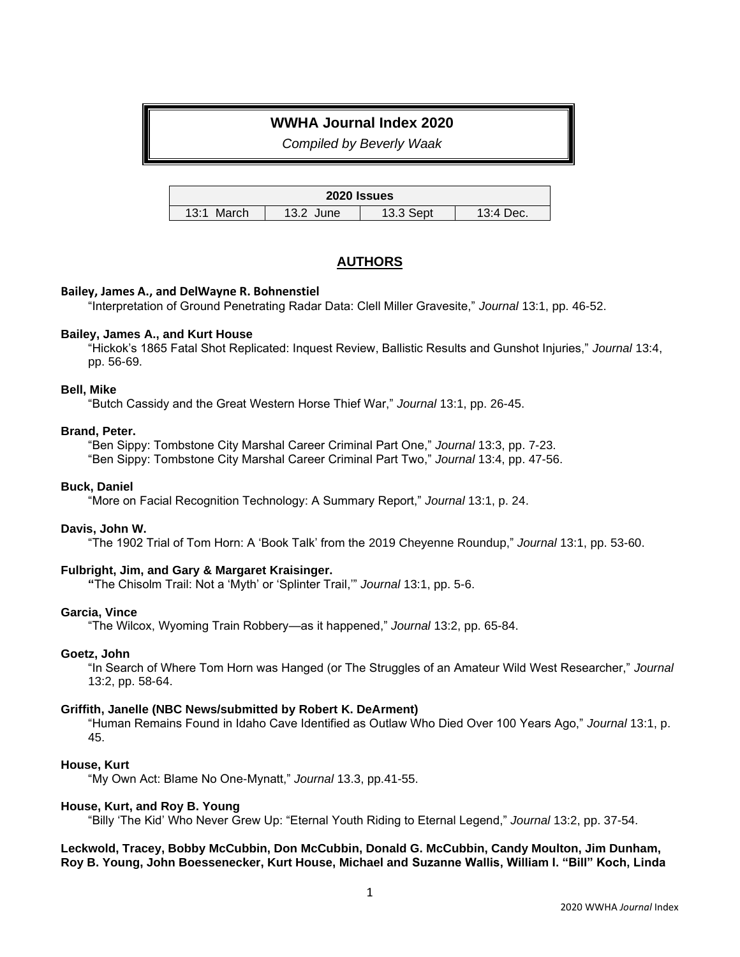# **WWHA Journal Index 2020**

*Compiled by Beverly Waak*

| 2020 Issues   |              |           |           |
|---------------|--------------|-----------|-----------|
| 13:1<br>March | 13.2<br>June | 13.3 Sept | 13:4 Dec. |

# **AUTHORS**

## **Bailey, James A., and DelWayne R. Bohnenstiel**

"Interpretation of Ground Penetrating Radar Data: Clell Miller Gravesite," *Journal* 13:1, pp. 46-52.

## **Bailey, James A., and Kurt House**

"Hickok's 1865 Fatal Shot Replicated: Inquest Review, Ballistic Results and Gunshot Injuries," *Journal* 13:4, pp. 56-69.

## **Bell, Mike**

"Butch Cassidy and the Great Western Horse Thief War," *Journal* 13:1, pp. 26-45.

## **Brand, Peter.**

"Ben Sippy: Tombstone City Marshal Career Criminal Part One," *Journal* 13:3, pp. 7-23. "Ben Sippy: Tombstone City Marshal Career Criminal Part Two," *Journal* 13:4, pp. 47-56.

## **Buck, Daniel**

"More on Facial Recognition Technology: A Summary Report," *Journal* 13:1, p. 24.

## **Davis, John W.**

"The 1902 Trial of Tom Horn: A 'Book Talk' from the 2019 Cheyenne Roundup," *Journal* 13:1, pp. 53-60.

## **Fulbright, Jim, and Gary & Margaret Kraisinger.**

**"**The Chisolm Trail: Not a 'Myth' or 'Splinter Trail,'" *Journal* 13:1, pp. 5-6.

## **Garcia, Vince**

"The Wilcox, Wyoming Train Robbery—as it happened," *Journal* 13:2, pp. 65-84.

## **Goetz, John**

"In Search of Where Tom Horn was Hanged (or The Struggles of an Amateur Wild West Researcher," *Journal*  13:2, pp. 58-64.

## **Griffith, Janelle (NBC News/submitted by Robert K. DeArment)**

"Human Remains Found in Idaho Cave Identified as Outlaw Who Died Over 100 Years Ago," *Journal* 13:1, p. 45.

## **House, Kurt**

"My Own Act: Blame No One-Mynatt," *Journal* 13.3, pp.41-55.

## **House, Kurt, and Roy B. Young**

"Billy 'The Kid' Who Never Grew Up: "Eternal Youth Riding to Eternal Legend," *Journal* 13:2, pp. 37-54.

## **Leckwold, Tracey, Bobby McCubbin, Don McCubbin, Donald G. McCubbin, Candy Moulton, Jim Dunham, Roy B. Young, John Boessenecker, Kurt House, Michael and Suzanne Wallis, William I. "Bill" Koch, Linda**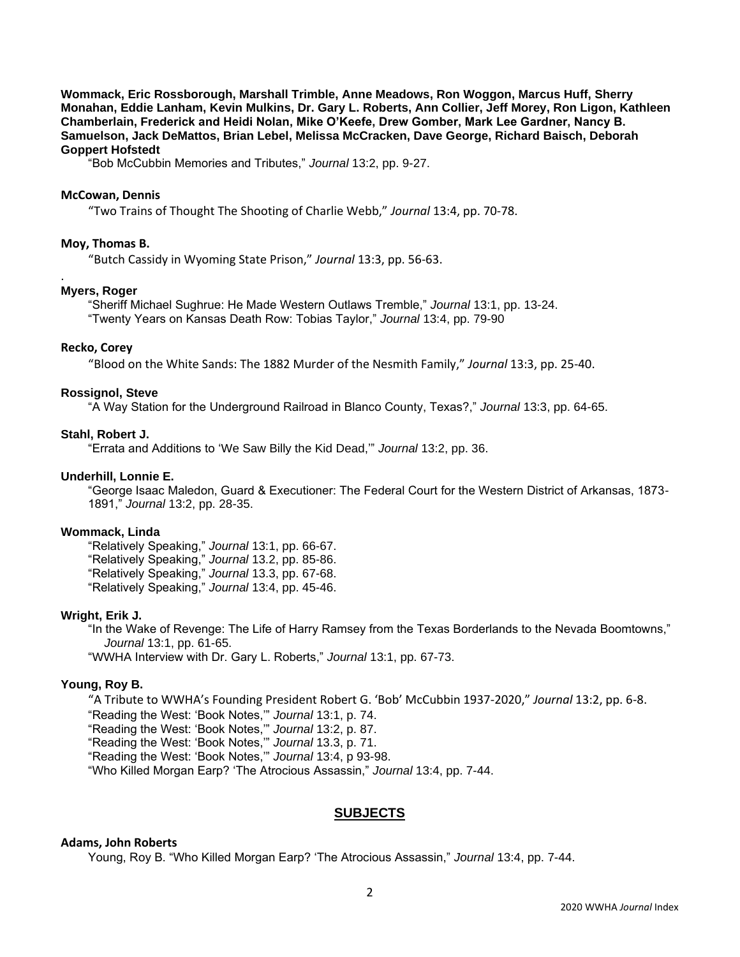**Wommack, Eric Rossborough, Marshall Trimble, Anne Meadows, Ron Woggon, Marcus Huff, Sherry Monahan, Eddie Lanham, Kevin Mulkins, Dr. Gary L. Roberts, Ann Collier, Jeff Morey, Ron Ligon, Kathleen Chamberlain, Frederick and Heidi Nolan, Mike O'Keefe, Drew Gomber, Mark Lee Gardner, Nancy B. Samuelson, Jack DeMattos, Brian Lebel, Melissa McCracken, Dave George, Richard Baisch, Deborah Goppert Hofstedt**

"Bob McCubbin Memories and Tributes," *Journal* 13:2, pp. 9-27.

#### **McCowan, Dennis**

"Two Trains of Thought The Shooting of Charlie Webb," *Journal* 13:4, pp. 70-78.

### **Moy, Thomas B.**

"Butch Cassidy in Wyoming State Prison," *Journal* 13:3, pp. 56-63.

#### **Myers, Roger**

.

"Sheriff Michael Sughrue: He Made Western Outlaws Tremble," *Journal* 13:1, pp. 13-24. "Twenty Years on Kansas Death Row: Tobias Taylor," *Journal* 13:4, pp. 79-90

#### **Recko, Corey**

"Blood on the White Sands: The 1882 Murder of the Nesmith Family," *Journal* 13:3, pp. 25-40.

#### **Rossignol, Steve**

"A Way Station for the Underground Railroad in Blanco County, Texas?," *Journal* 13:3, pp. 64-65.

#### **Stahl, Robert J.**

"Errata and Additions to 'We Saw Billy the Kid Dead,'" *Journal* 13:2, pp. 36.

#### **Underhill, Lonnie E.**

"George Isaac Maledon, Guard & Executioner: The Federal Court for the Western District of Arkansas, 1873- 1891," *Journal* 13:2, pp. 28-35.

#### **Wommack, Linda**

"Relatively Speaking," *Journal* 13:1, pp. 66-67. "Relatively Speaking," *Journal* 13.2, pp. 85-86. "Relatively Speaking," *Journal* 13.3, pp. 67-68. "Relatively Speaking," *Journal* 13:4, pp. 45-46.

#### **Wright, Erik J.**

"In the Wake of Revenge: The Life of Harry Ramsey from the Texas Borderlands to the Nevada Boomtowns," *Journal* 13:1, pp. 61-65.

"WWHA Interview with Dr. Gary L. Roberts," *Journal* 13:1, pp. 67-73.

### **Young, Roy B.**

"A Tribute to WWHA's Founding President Robert G. 'Bob' McCubbin 1937-2020," *Journal* 13:2, pp. 6-8. "Reading the West: 'Book Notes,'" *Journal* 13:1, p. 74. "Reading the West: 'Book Notes,'" *Journal* 13:2, p. 87.

"Reading the West: 'Book Notes,'" *Journal* 13.3, p. 71.

"Reading the West: 'Book Notes,'" *Journal* 13:4, p 93-98.

"Who Killed Morgan Earp? 'The Atrocious Assassin," *Journal* 13:4, pp. 7-44.

### **SUBJECTS**

### **Adams, John Roberts**

Young, Roy B. "Who Killed Morgan Earp? 'The Atrocious Assassin," *Journal* 13:4, pp. 7-44.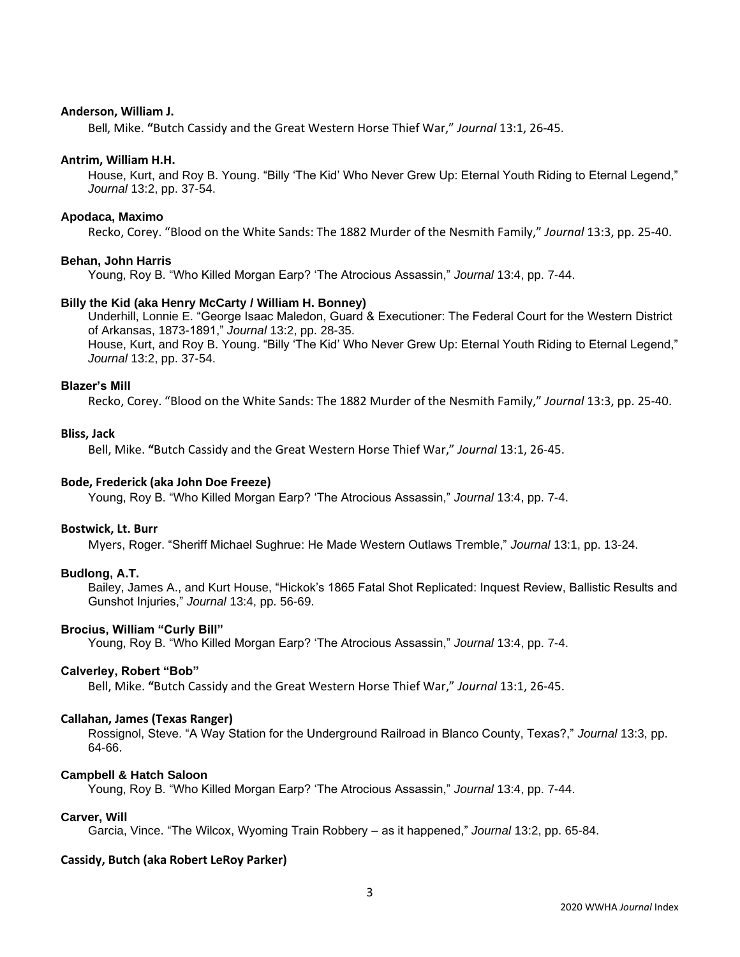### **Anderson, William J.**

Bell, Mike. **"**Butch Cassidy and the Great Western Horse Thief War," *Journal* 13:1, 26-45.

### **Antrim, William H.H.**

House, Kurt, and Roy B. Young. "Billy 'The Kid' Who Never Grew Up: Eternal Youth Riding to Eternal Legend," *Journal* 13:2, pp. 37-54.

#### **Apodaca, Maximo**

Recko, Corey. "Blood on the White Sands: The 1882 Murder of the Nesmith Family," *Journal* 13:3, pp. 25-40.

#### **Behan, John Harris**

Young, Roy B. "Who Killed Morgan Earp? 'The Atrocious Assassin," *Journal* 13:4, pp. 7-44.

#### **Billy the Kid (aka Henry McCarty / William H. Bonney)**

Underhill, Lonnie E. "George Isaac Maledon, Guard & Executioner: The Federal Court for the Western District of Arkansas, 1873-1891," *Journal* 13:2, pp. 28-35. House, Kurt, and Roy B. Young. "Billy 'The Kid' Who Never Grew Up: Eternal Youth Riding to Eternal Legend," *Journal* 13:2, pp. 37-54.

### **Blazer's Mill**

Recko, Corey. "Blood on the White Sands: The 1882 Murder of the Nesmith Family," *Journal* 13:3, pp. 25-40.

#### **Bliss, Jack**

Bell, Mike. **"**Butch Cassidy and the Great Western Horse Thief War," *Journal* 13:1, 26-45.

#### **Bode, Frederick (aka John Doe Freeze)**

Young, Roy B. "Who Killed Morgan Earp? 'The Atrocious Assassin," *Journal* 13:4, pp. 7-4.

### **Bostwick, Lt. Burr**

Myers, Roger. "Sheriff Michael Sughrue: He Made Western Outlaws Tremble," *Journal* 13:1, pp. 13-24.

### **Budlong, A.T.**

Bailey, James A., and Kurt House, "Hickok's 1865 Fatal Shot Replicated: Inquest Review, Ballistic Results and Gunshot Injuries," *Journal* 13:4, pp. 56-69.

#### **Brocius, William "Curly Bill"**

Young, Roy B. "Who Killed Morgan Earp? 'The Atrocious Assassin," *Journal* 13:4, pp. 7-4.

### **Calverley, Robert "Bob"**

Bell, Mike. **"**Butch Cassidy and the Great Western Horse Thief War," *Journal* 13:1, 26-45.

#### **Callahan, James (Texas Ranger)**

Rossignol, Steve. "A Way Station for the Underground Railroad in Blanco County, Texas?," *Journal* 13:3, pp. 64-66.

### **Campbell & Hatch Saloon**

Young, Roy B. "Who Killed Morgan Earp? 'The Atrocious Assassin," *Journal* 13:4, pp. 7-44.

#### **Carver, Will**

Garcia, Vince. "The Wilcox, Wyoming Train Robbery – as it happened," *Journal* 13:2, pp. 65-84.

### **Cassidy, Butch (aka Robert LeRoy Parker)**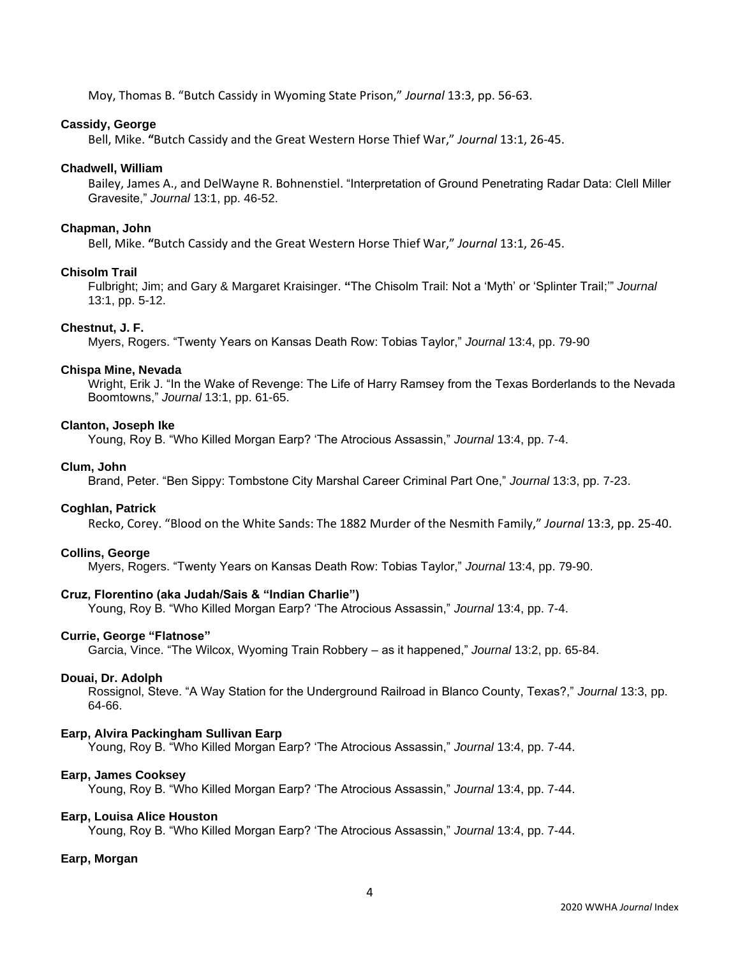Moy, Thomas B. "Butch Cassidy in Wyoming State Prison," *Journal* 13:3, pp. 56-63.

### **Cassidy, George**

Bell, Mike. **"**Butch Cassidy and the Great Western Horse Thief War," *Journal* 13:1, 26-45.

## **Chadwell, William**

Bailey, James A., and DelWayne R. Bohnenstiel. "Interpretation of Ground Penetrating Radar Data: Clell Miller Gravesite," *Journal* 13:1, pp. 46-52.

### **Chapman, John**

Bell, Mike. **"**Butch Cassidy and the Great Western Horse Thief War," *Journal* 13:1, 26-45.

### **Chisolm Trail**

Fulbright; Jim; and Gary & Margaret Kraisinger. **"**The Chisolm Trail: Not a 'Myth' or 'Splinter Trail;'" *Journal*  13:1, pp. 5-12.

### **Chestnut, J. F.**

Myers, Rogers. "Twenty Years on Kansas Death Row: Tobias Taylor," *Journal* 13:4, pp. 79-90

### **Chispa Mine, Nevada**

Wright, Erik J. "In the Wake of Revenge: The Life of Harry Ramsey from the Texas Borderlands to the Nevada Boomtowns," *Journal* 13:1, pp. 61-65.

## **Clanton, Joseph Ike**

Young, Roy B. "Who Killed Morgan Earp? 'The Atrocious Assassin," *Journal* 13:4, pp. 7-4.

### **Clum, John**

Brand, Peter. "Ben Sippy: Tombstone City Marshal Career Criminal Part One," *Journal* 13:3, pp. 7-23.

### **Coghlan, Patrick**

Recko, Corey. "Blood on the White Sands: The 1882 Murder of the Nesmith Family," *Journal* 13:3, pp. 25-40.

### **Collins, George**

Myers, Rogers. "Twenty Years on Kansas Death Row: Tobias Taylor," *Journal* 13:4, pp. 79-90.

### **Cruz, Florentino (aka Judah/Sais & "Indian Charlie")**

Young, Roy B. "Who Killed Morgan Earp? 'The Atrocious Assassin," *Journal* 13:4, pp. 7-4.

### **Currie, George "Flatnose"**

Garcia, Vince. "The Wilcox, Wyoming Train Robbery – as it happened," *Journal* 13:2, pp. 65-84.

### **Douai, Dr. Adolph**

Rossignol, Steve. "A Way Station for the Underground Railroad in Blanco County, Texas?," *Journal* 13:3, pp. 64-66.

### **Earp, Alvira Packingham Sullivan Earp**

Young, Roy B. "Who Killed Morgan Earp? 'The Atrocious Assassin," *Journal* 13:4, pp. 7-44.

### **Earp, James Cooksey**

Young, Roy B. "Who Killed Morgan Earp? 'The Atrocious Assassin," *Journal* 13:4, pp. 7-44.

### **Earp, Louisa Alice Houston**

Young, Roy B. "Who Killed Morgan Earp? 'The Atrocious Assassin," *Journal* 13:4, pp. 7-44.

## **Earp, Morgan**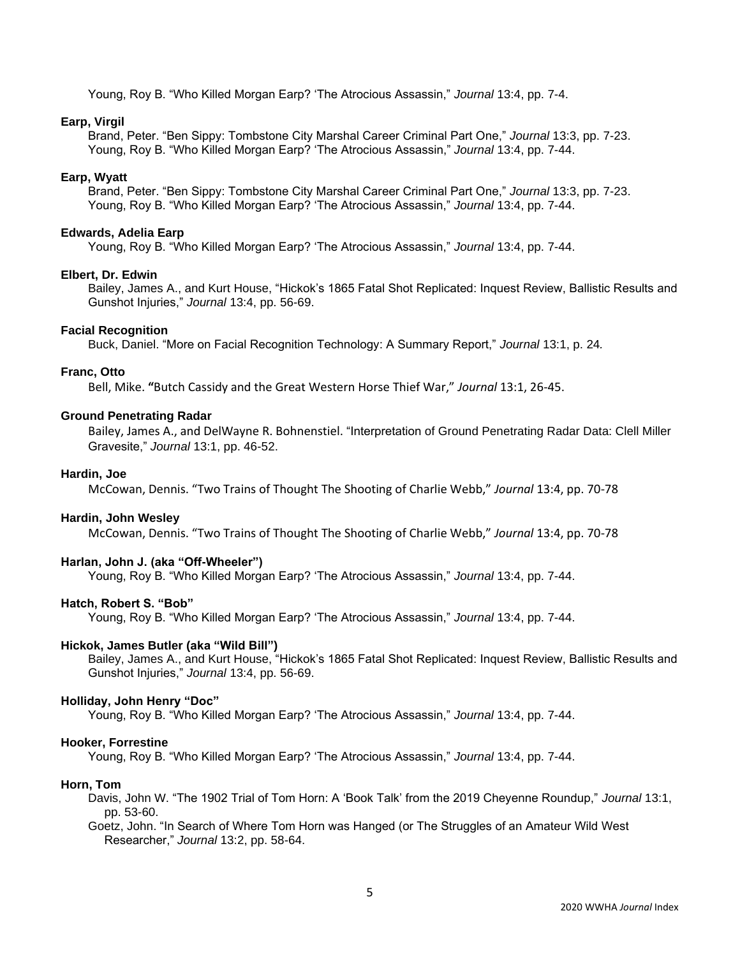Young, Roy B. "Who Killed Morgan Earp? 'The Atrocious Assassin," *Journal* 13:4, pp. 7-4.

### **Earp, Virgil**

Brand, Peter. "Ben Sippy: Tombstone City Marshal Career Criminal Part One," *Journal* 13:3, pp. 7-23. Young, Roy B. "Who Killed Morgan Earp? 'The Atrocious Assassin," *Journal* 13:4, pp. 7-44.

#### **Earp, Wyatt**

Brand, Peter. "Ben Sippy: Tombstone City Marshal Career Criminal Part One," *Journal* 13:3, pp. 7-23. Young, Roy B. "Who Killed Morgan Earp? 'The Atrocious Assassin," *Journal* 13:4, pp. 7-44.

#### **Edwards, Adelia Earp**

Young, Roy B. "Who Killed Morgan Earp? 'The Atrocious Assassin," *Journal* 13:4, pp. 7-44.

#### **Elbert, Dr. Edwin**

Bailey, James A., and Kurt House, "Hickok's 1865 Fatal Shot Replicated: Inquest Review, Ballistic Results and Gunshot Injuries," *Journal* 13:4, pp. 56-69.

#### **Facial Recognition**

Buck, Daniel. "More on Facial Recognition Technology: A Summary Report," *Journal* 13:1, p. 24*.*

## **Franc, Otto**

Bell, Mike. **"**Butch Cassidy and the Great Western Horse Thief War," *Journal* 13:1, 26-45.

#### **Ground Penetrating Radar**

Bailey, James A., and DelWayne R. Bohnenstiel. "Interpretation of Ground Penetrating Radar Data: Clell Miller Gravesite," *Journal* 13:1, pp. 46-52.

#### **Hardin, Joe**

McCowan, Dennis. "Two Trains of Thought The Shooting of Charlie Webb," *Journal* 13:4, pp. 70-78

### **Hardin, John Wesley**

McCowan, Dennis. "Two Trains of Thought The Shooting of Charlie Webb," *Journal* 13:4, pp. 70-78

### **Harlan, John J. (aka "Off-Wheeler")**

Young, Roy B. "Who Killed Morgan Earp? 'The Atrocious Assassin," *Journal* 13:4, pp. 7-44.

### **Hatch, Robert S. "Bob"**

Young, Roy B. "Who Killed Morgan Earp? 'The Atrocious Assassin," *Journal* 13:4, pp. 7-44.

#### **Hickok, James Butler (aka "Wild Bill")**

Bailey, James A., and Kurt House, "Hickok's 1865 Fatal Shot Replicated: Inquest Review, Ballistic Results and Gunshot Injuries," *Journal* 13:4, pp. 56-69.

## **Holliday, John Henry "Doc"**

Young, Roy B. "Who Killed Morgan Earp? 'The Atrocious Assassin," *Journal* 13:4, pp. 7-44.

#### **Hooker, Forrestine**

Young, Roy B. "Who Killed Morgan Earp? 'The Atrocious Assassin," *Journal* 13:4, pp. 7-44.

### **Horn, Tom**

- Davis, John W. "The 1902 Trial of Tom Horn: A 'Book Talk' from the 2019 Cheyenne Roundup," *Journal* 13:1, pp. 53-60.
- Goetz, John. "In Search of Where Tom Horn was Hanged (or The Struggles of an Amateur Wild West Researcher," *Journal* 13:2, pp. 58-64.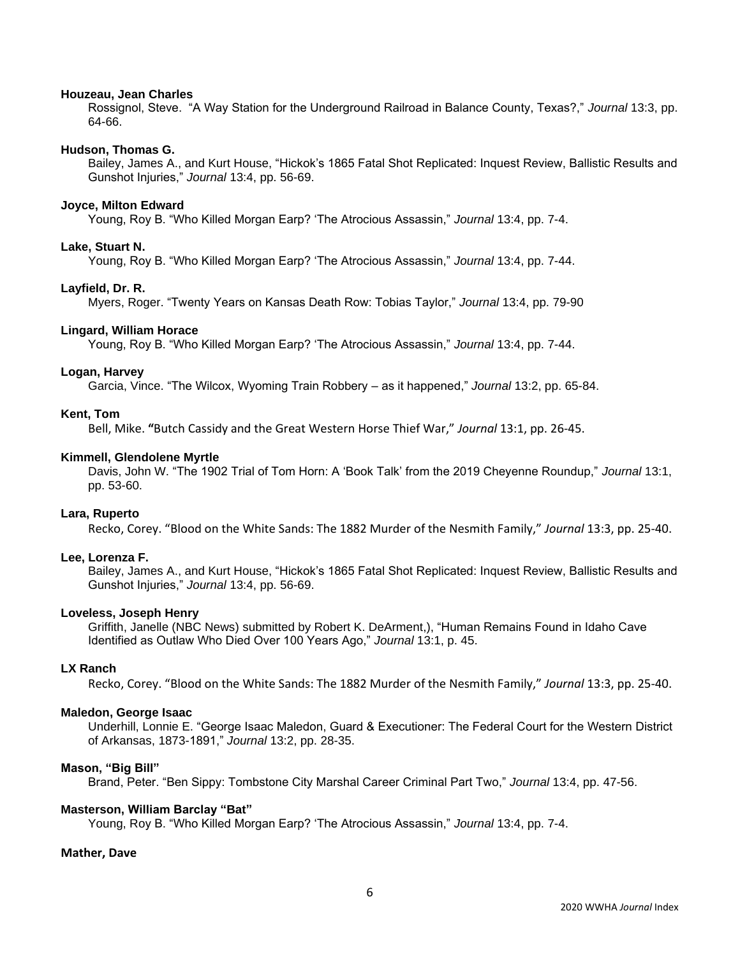#### **Houzeau, Jean Charles**

Rossignol, Steve. "A Way Station for the Underground Railroad in Balance County, Texas?," *Journal* 13:3, pp. 64-66.

#### **Hudson, Thomas G.**

Bailey, James A., and Kurt House, "Hickok's 1865 Fatal Shot Replicated: Inquest Review, Ballistic Results and Gunshot Injuries," *Journal* 13:4, pp. 56-69.

### **Joyce, Milton Edward**

Young, Roy B. "Who Killed Morgan Earp? 'The Atrocious Assassin," *Journal* 13:4, pp. 7-4.

### **Lake, Stuart N.**

Young, Roy B. "Who Killed Morgan Earp? 'The Atrocious Assassin," *Journal* 13:4, pp. 7-44.

#### **Layfield, Dr. R.**

Myers, Roger. "Twenty Years on Kansas Death Row: Tobias Taylor," *Journal* 13:4, pp. 79-90

#### **Lingard, William Horace**

Young, Roy B. "Who Killed Morgan Earp? 'The Atrocious Assassin," *Journal* 13:4, pp. 7-44.

#### **Logan, Harvey**

Garcia, Vince. "The Wilcox, Wyoming Train Robbery – as it happened," *Journal* 13:2, pp. 65-84.

### **Kent, Tom**

Bell, Mike. **"**Butch Cassidy and the Great Western Horse Thief War," *Journal* 13:1, pp. 26-45.

#### **Kimmell, Glendolene Myrtle**

Davis, John W. "The 1902 Trial of Tom Horn: A 'Book Talk' from the 2019 Cheyenne Roundup," *Journal* 13:1, pp. 53-60.

#### **Lara, Ruperto**

Recko, Corey. "Blood on the White Sands: The 1882 Murder of the Nesmith Family," *Journal* 13:3, pp. 25-40.

#### **Lee, Lorenza F.**

Bailey, James A., and Kurt House, "Hickok's 1865 Fatal Shot Replicated: Inquest Review, Ballistic Results and Gunshot Injuries," *Journal* 13:4, pp. 56-69.

### **Loveless, Joseph Henry**

Griffith, Janelle (NBC News) submitted by Robert K. DeArment,), "Human Remains Found in Idaho Cave Identified as Outlaw Who Died Over 100 Years Ago," *Journal* 13:1, p. 45.

### **LX Ranch**

Recko, Corey. "Blood on the White Sands: The 1882 Murder of the Nesmith Family," *Journal* 13:3, pp. 25-40.

## **Maledon, George Isaac**

Underhill, Lonnie E. "George Isaac Maledon, Guard & Executioner: The Federal Court for the Western District of Arkansas, 1873-1891," *Journal* 13:2, pp. 28-35.

#### **Mason, "Big Bill"**

Brand, Peter. "Ben Sippy: Tombstone City Marshal Career Criminal Part Two," *Journal* 13:4, pp. 47-56.

#### **Masterson, William Barclay "Bat"**

Young, Roy B. "Who Killed Morgan Earp? 'The Atrocious Assassin," *Journal* 13:4, pp. 7-4.

#### **Mather, Dave**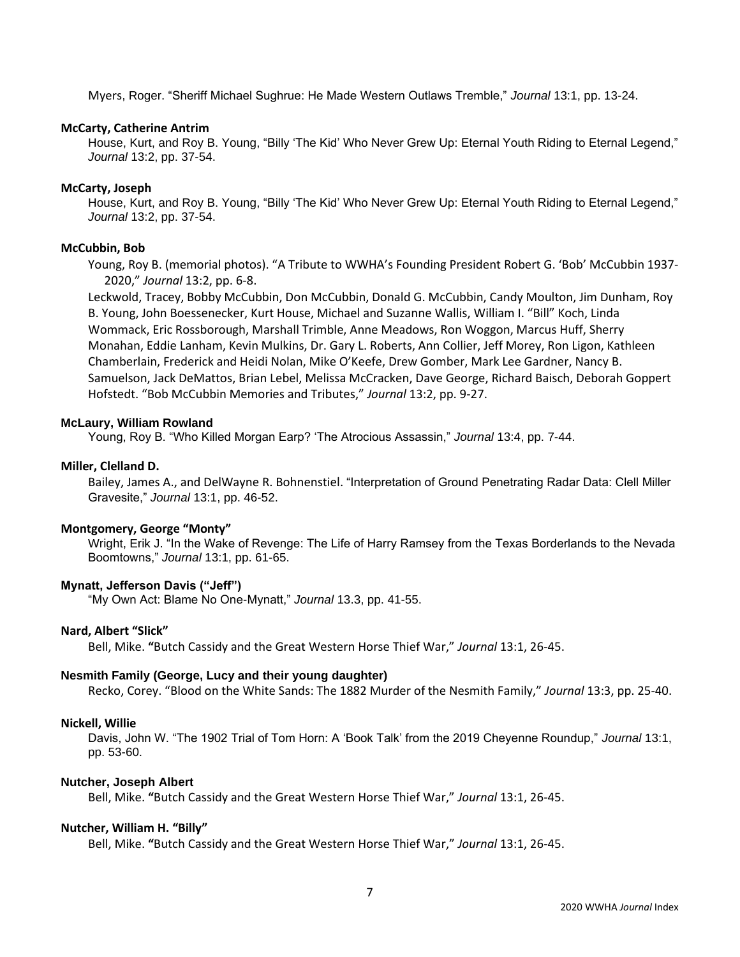Myers, Roger. "Sheriff Michael Sughrue: He Made Western Outlaws Tremble," *Journal* 13:1, pp. 13-24.

### **McCarty, Catherine Antrim**

House, Kurt, and Roy B. Young, "Billy 'The Kid' Who Never Grew Up: Eternal Youth Riding to Eternal Legend," *Journal* 13:2, pp. 37-54.

### **McCarty, Joseph**

House, Kurt, and Roy B. Young, "Billy 'The Kid' Who Never Grew Up: Eternal Youth Riding to Eternal Legend," *Journal* 13:2, pp. 37-54.

### **McCubbin, Bob**

Young, Roy B. (memorial photos). "A Tribute to WWHA's Founding President Robert G. 'Bob' McCubbin 1937- 2020," *Journal* 13:2, pp. 6-8.

Leckwold, Tracey, Bobby McCubbin, Don McCubbin, Donald G. McCubbin, Candy Moulton, Jim Dunham, Roy B. Young, John Boessenecker, Kurt House, Michael and Suzanne Wallis, William I. "Bill" Koch, Linda Wommack, Eric Rossborough, Marshall Trimble, Anne Meadows, Ron Woggon, Marcus Huff, Sherry Monahan, Eddie Lanham, Kevin Mulkins, Dr. Gary L. Roberts, Ann Collier, Jeff Morey, Ron Ligon, Kathleen Chamberlain, Frederick and Heidi Nolan, Mike O'Keefe, Drew Gomber, Mark Lee Gardner, Nancy B. Samuelson, Jack DeMattos, Brian Lebel, Melissa McCracken, Dave George, Richard Baisch, Deborah Goppert Hofstedt. "Bob McCubbin Memories and Tributes," *Journal* 13:2, pp. 9-27.

### **McLaury, William Rowland**

Young, Roy B. "Who Killed Morgan Earp? 'The Atrocious Assassin," *Journal* 13:4, pp. 7-44.

## **Miller, Clelland D.**

Bailey, James A., and DelWayne R. Bohnenstiel. "Interpretation of Ground Penetrating Radar Data: Clell Miller Gravesite," *Journal* 13:1, pp. 46-52.

## **Montgomery, George "Monty"**

Wright, Erik J. "In the Wake of Revenge: The Life of Harry Ramsey from the Texas Borderlands to the Nevada Boomtowns," *Journal* 13:1, pp. 61-65.

## **Mynatt, Jefferson Davis ("Jeff")**

"My Own Act: Blame No One-Mynatt," *Journal* 13.3, pp. 41-55.

## **Nard, Albert "Slick"**

Bell, Mike. **"**Butch Cassidy and the Great Western Horse Thief War," *Journal* 13:1, 26-45.

## **Nesmith Family (George, Lucy and their young daughter)**

Recko, Corey. "Blood on the White Sands: The 1882 Murder of the Nesmith Family," *Journal* 13:3, pp. 25-40.

### **Nickell, Willie**

Davis, John W. "The 1902 Trial of Tom Horn: A 'Book Talk' from the 2019 Cheyenne Roundup," *Journal* 13:1, pp. 53-60.

## **Nutcher, Joseph Albert**

Bell, Mike. **"**Butch Cassidy and the Great Western Horse Thief War," *Journal* 13:1, 26-45.

## **Nutcher, William H. "Billy"**

Bell, Mike. **"**Butch Cassidy and the Great Western Horse Thief War," *Journal* 13:1, 26-45.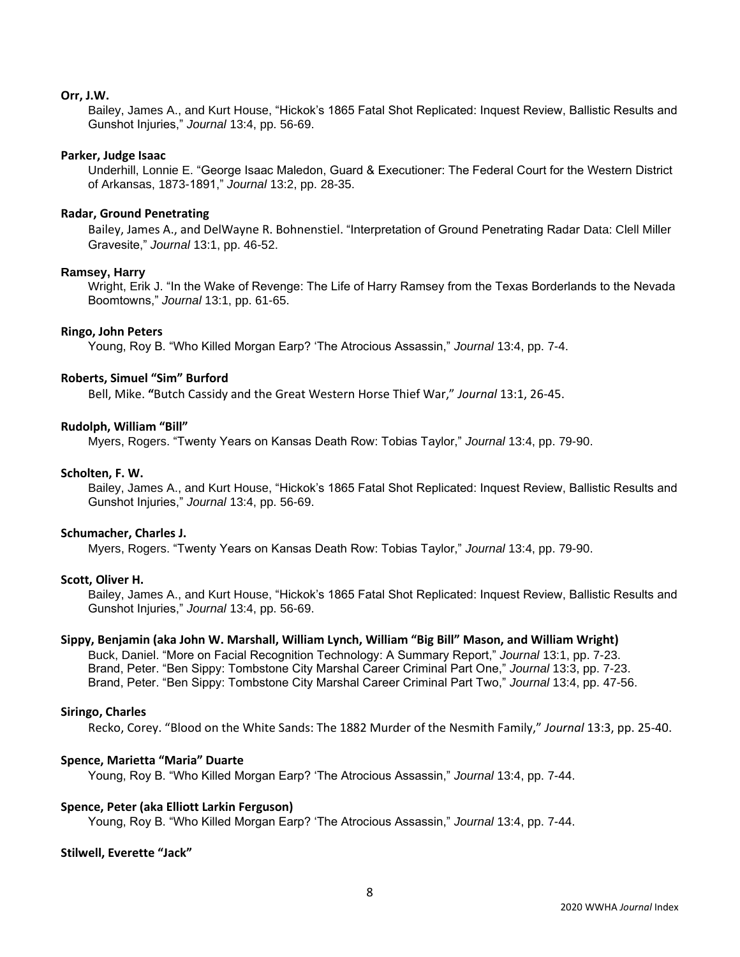### **Orr, J.W.**

Bailey, James A., and Kurt House, "Hickok's 1865 Fatal Shot Replicated: Inquest Review, Ballistic Results and Gunshot Injuries," *Journal* 13:4, pp. 56-69.

### **Parker, Judge Isaac**

Underhill, Lonnie E. "George Isaac Maledon, Guard & Executioner: The Federal Court for the Western District of Arkansas, 1873-1891," *Journal* 13:2, pp. 28-35.

### **Radar, Ground Penetrating**

Bailey, James A., and DelWayne R. Bohnenstiel. "Interpretation of Ground Penetrating Radar Data: Clell Miller Gravesite," *Journal* 13:1, pp. 46-52.

### **Ramsey, Harry**

Wright, Erik J. "In the Wake of Revenge: The Life of Harry Ramsey from the Texas Borderlands to the Nevada Boomtowns," *Journal* 13:1, pp. 61-65.

### **Ringo, John Peters**

Young, Roy B. "Who Killed Morgan Earp? 'The Atrocious Assassin," *Journal* 13:4, pp. 7-4.

### **Roberts, Simuel "Sim" Burford**

Bell, Mike. **"**Butch Cassidy and the Great Western Horse Thief War," *Journal* 13:1, 26-45.

### **Rudolph, William "Bill"**

Myers, Rogers. "Twenty Years on Kansas Death Row: Tobias Taylor," *Journal* 13:4, pp. 79-90.

### **Scholten, F. W.**

Bailey, James A., and Kurt House, "Hickok's 1865 Fatal Shot Replicated: Inquest Review, Ballistic Results and Gunshot Injuries," *Journal* 13:4, pp. 56-69.

### **Schumacher, Charles J.**

Myers, Rogers. "Twenty Years on Kansas Death Row: Tobias Taylor," *Journal* 13:4, pp. 79-90.

## **Scott, Oliver H.**

Bailey, James A., and Kurt House, "Hickok's 1865 Fatal Shot Replicated: Inquest Review, Ballistic Results and Gunshot Injuries," *Journal* 13:4, pp. 56-69.

## **Sippy, Benjamin (aka John W. Marshall, William Lynch, William "Big Bill" Mason, and William Wright)**

Buck, Daniel. "More on Facial Recognition Technology: A Summary Report," *Journal* 13:1, pp. 7-23. Brand, Peter. "Ben Sippy: Tombstone City Marshal Career Criminal Part One," *Journal* 13:3, pp. 7-23. Brand, Peter. "Ben Sippy: Tombstone City Marshal Career Criminal Part Two," *Journal* 13:4, pp. 47-56.

### **Siringo, Charles**

Recko, Corey. "Blood on the White Sands: The 1882 Murder of the Nesmith Family," *Journal* 13:3, pp. 25-40.

### **Spence, Marietta "Maria" Duarte**

Young, Roy B. "Who Killed Morgan Earp? 'The Atrocious Assassin," *Journal* 13:4, pp. 7-44.

### **Spence, Peter (aka Elliott Larkin Ferguson)**

Young, Roy B. "Who Killed Morgan Earp? 'The Atrocious Assassin," *Journal* 13:4, pp. 7-44.

### **Stilwell, Everette "Jack"**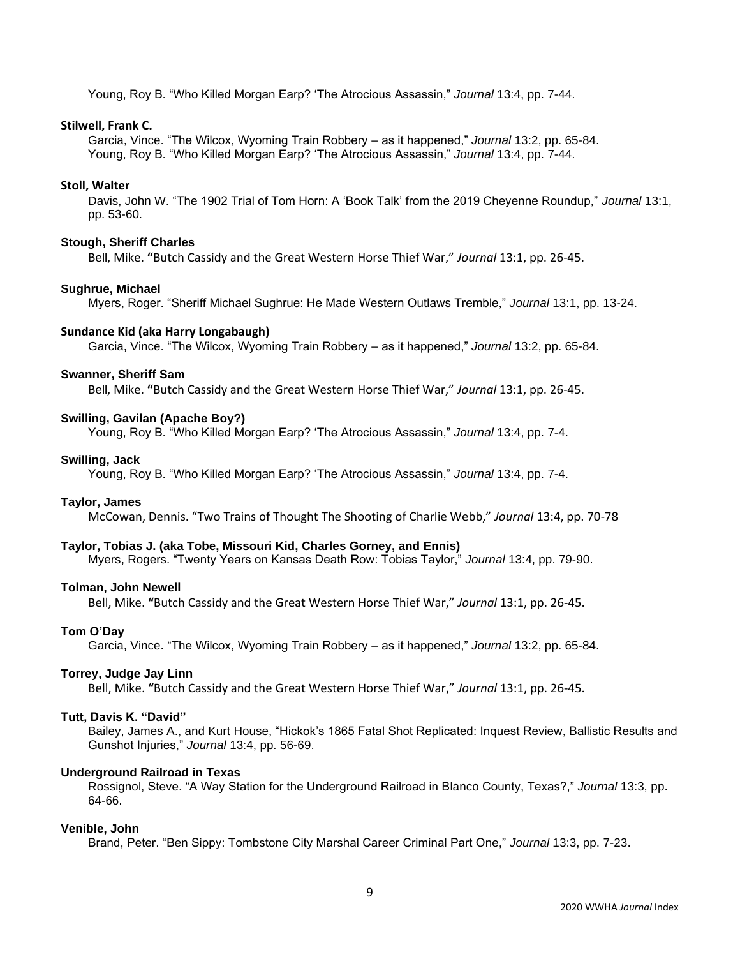Young, Roy B. "Who Killed Morgan Earp? 'The Atrocious Assassin," *Journal* 13:4, pp. 7-44.

### **Stilwell, Frank C.**

Garcia, Vince. "The Wilcox, Wyoming Train Robbery – as it happened," *Journal* 13:2, pp. 65-84. Young, Roy B. "Who Killed Morgan Earp? 'The Atrocious Assassin," *Journal* 13:4, pp. 7-44.

### **Stoll, Walter**

Davis, John W. "The 1902 Trial of Tom Horn: A 'Book Talk' from the 2019 Cheyenne Roundup," *Journal* 13:1, pp. 53-60.

### **Stough, Sheriff Charles**

Bell, Mike. **"**Butch Cassidy and the Great Western Horse Thief War," *Journal* 13:1, pp. 26-45.

#### **Sughrue, Michael**

Myers, Roger. "Sheriff Michael Sughrue: He Made Western Outlaws Tremble," *Journal* 13:1, pp. 13-24.

### **Sundance Kid (aka Harry Longabaugh)**

Garcia, Vince. "The Wilcox, Wyoming Train Robbery – as it happened," *Journal* 13:2, pp. 65-84.

### **Swanner, Sheriff Sam**

Bell, Mike. **"**Butch Cassidy and the Great Western Horse Thief War," *Journal* 13:1, pp. 26-45.

### **Swilling, Gavilan (Apache Boy?)**

Young, Roy B. "Who Killed Morgan Earp? 'The Atrocious Assassin," *Journal* 13:4, pp. 7-4.

#### **Swilling, Jack**

Young, Roy B. "Who Killed Morgan Earp? 'The Atrocious Assassin," *Journal* 13:4, pp. 7-4.

#### **Taylor, James**

McCowan, Dennis. "Two Trains of Thought The Shooting of Charlie Webb," *Journal* 13:4, pp. 70-78

#### **Taylor, Tobias J. (aka Tobe, Missouri Kid, Charles Gorney, and Ennis)**

Myers, Rogers. "Twenty Years on Kansas Death Row: Tobias Taylor," *Journal* 13:4, pp. 79-90.

## **Tolman, John Newell**

Bell, Mike. **"**Butch Cassidy and the Great Western Horse Thief War," *Journal* 13:1, pp. 26-45.

#### **Tom O'Day**

Garcia, Vince. "The Wilcox, Wyoming Train Robbery – as it happened," *Journal* 13:2, pp. 65-84.

#### **Torrey, Judge Jay Linn**

Bell, Mike. **"**Butch Cassidy and the Great Western Horse Thief War," *Journal* 13:1, pp. 26-45.

#### **Tutt, Davis K. "David"**

Bailey, James A., and Kurt House, "Hickok's 1865 Fatal Shot Replicated: Inquest Review, Ballistic Results and Gunshot Injuries," *Journal* 13:4, pp. 56-69.

## **Underground Railroad in Texas**

Rossignol, Steve. "A Way Station for the Underground Railroad in Blanco County, Texas?," *Journal* 13:3, pp. 64-66.

### **Venible, John**

Brand, Peter. "Ben Sippy: Tombstone City Marshal Career Criminal Part One," *Journal* 13:3, pp. 7-23.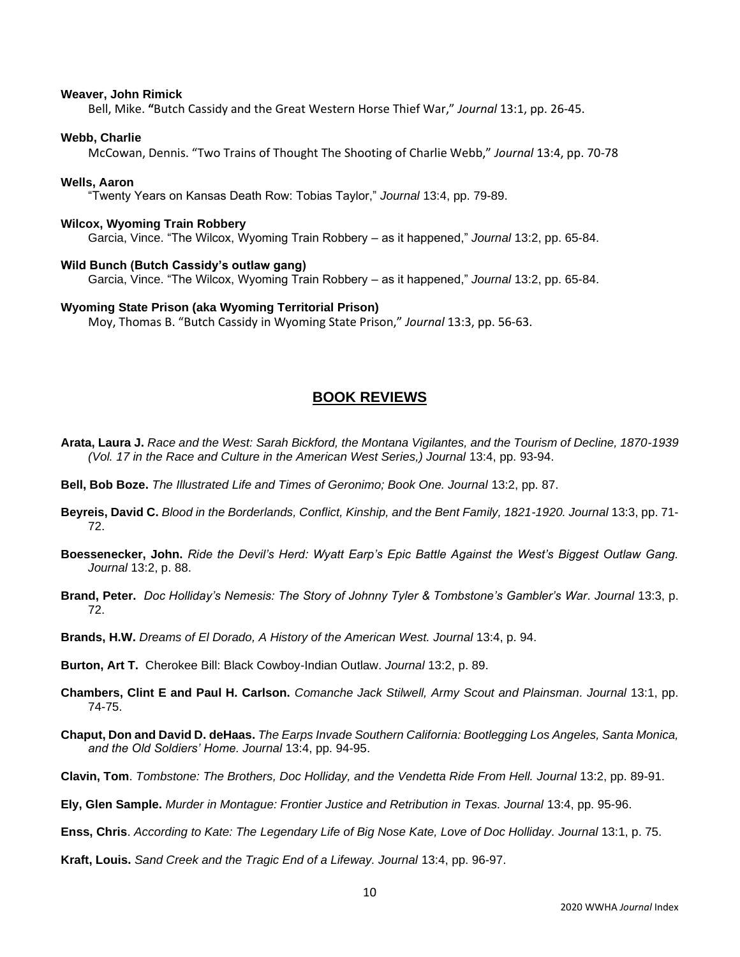### **Weaver, John Rimick**

Bell, Mike. **"**Butch Cassidy and the Great Western Horse Thief War," *Journal* 13:1, pp. 26-45.

### **Webb, Charlie**

McCowan, Dennis. "Two Trains of Thought The Shooting of Charlie Webb," *Journal* 13:4, pp. 70-78

#### **Wells, Aaron**

"Twenty Years on Kansas Death Row: Tobias Taylor," *Journal* 13:4, pp. 79-89.

#### **Wilcox, Wyoming Train Robbery**

Garcia, Vince. "The Wilcox, Wyoming Train Robbery – as it happened," *Journal* 13:2, pp. 65-84.

### **Wild Bunch (Butch Cassidy's outlaw gang)**

Garcia, Vince. "The Wilcox, Wyoming Train Robbery – as it happened," *Journal* 13:2, pp. 65-84.

### **Wyoming State Prison (aka Wyoming Territorial Prison)**

Moy, Thomas B. "Butch Cassidy in Wyoming State Prison," *Journal* 13:3, pp. 56-63.

## **BOOK REVIEWS**

- **Arata, Laura J.** *Race and the West: Sarah Bickford, the Montana Vigilantes, and the Tourism of Decline, 1870-1939 (Vol. 17 in the Race and Culture in the American West Series,) Journal 13:4, pp. 93-94.*
- **Bell, Bob Boze.** *The Illustrated Life and Times of Geronimo; Book One. Journal* 13:2, pp. 87.
- **Beyreis, David C.** *Blood in the Borderlands, Conflict, Kinship, and the Bent Family, 1821-1920. Journal* 13:3, pp. 71- 72.
- **Boessenecker, John.** *Ride the Devil's Herd: Wyatt Earp's Epic Battle Against the West's Biggest Outlaw Gang. Journal* 13:2, p. 88.
- **Brand, Peter.** *Doc Holliday's Nemesis: The Story of Johnny Tyler & Tombstone's Gambler's War. Journal* 13:3, p. 72.
- **Brands, H.W.** *Dreams of El Dorado, A History of the American West. Journal* 13:4, p. 94.

**Burton, Art T.** Cherokee Bill: Black Cowboy-Indian Outlaw. *Journal* 13:2, p. 89.

- **Chambers, Clint E and Paul H. Carlson.** *Comanche Jack Stilwell, Army Scout and Plainsman. Journal* 13:1, pp. 74-75.
- **Chaput, Don and David D. deHaas.** *The Earps Invade Southern California: Bootlegging Los Angeles, Santa Monica, and the Old Soldiers' Home. Journal* 13:4, pp. 94-95.
- **Clavin, Tom**. *Tombstone: The Brothers, Doc Holliday, and the Vendetta Ride From Hell. Journal* 13:2, pp. 89-91.
- **Ely, Glen Sample.** *Murder in Montague: Frontier Justice and Retribution in Texas. Journal* 13:4, pp. 95-96.

**Enss, Chris**. *According to Kate: The Legendary Life of Big Nose Kate, Love of Doc Holliday. Journal* 13:1, p. 75.

**Kraft, Louis.** *Sand Creek and the Tragic End of a Lifeway. Journal* 13:4, pp. 96-97.